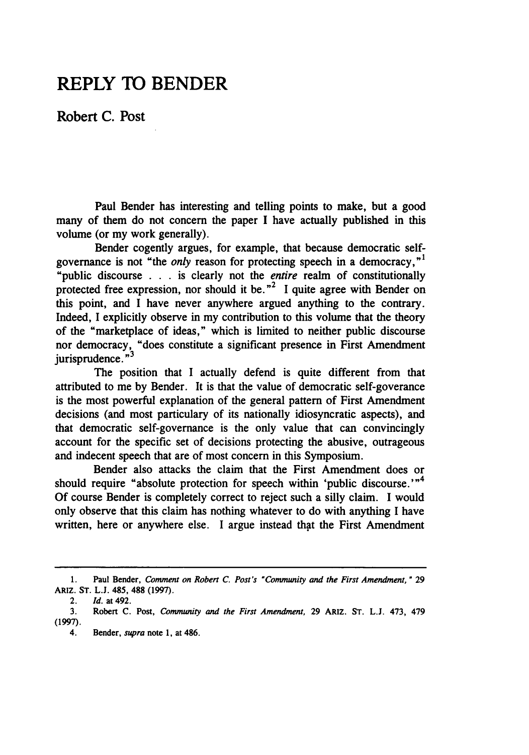## **REPLY TO BENDER**

Robert **C.** Post

Paul Bender has interesting and telling points to make, but a good many of them do not concern the paper I have actually published in this volume (or my work generally).

Bender cogently argues, for example, that because democratic selfgovernance is not "the *only* reason for protecting speech in a democracy,"' "public discourse . . **.** is clearly not the *entire* realm of constitutionally protected free expression, nor should it be.<sup>"2</sup> I quite agree with Bender on this point, and I have never anywhere argued anything to the contrary. Indeed, I explicitly observe in my contribution to this volume that the theory of the "marketplace of ideas," which is limited to neither public discourse nor democracy, "does constitute a significant presence in First Amendment jurisprudence. **"<sup>3</sup>**

The position that I actually defend is quite different from that attributed to me by Bender. It is that the value of democratic self-goverance is the most powerful explanation of the general pattern of First Amendment decisions (and most particulary of its nationally idiosyncratic aspects), and that democratic self-governance is the only value that can convincingly account for the specific set of decisions protecting the abusive, outrageous and indecent speech that are of most concern in this Symposium.

Bender also attacks the claim that the First Amendment does or should require "absolute protection for speech within 'public discourse.'"<sup>4</sup> Of course Bender is completely correct to reject such a silly claim. I would only observe that this claim has nothing whatever to do with anything I have written, here or anywhere else. I argue instead that the First Amendment

<sup>1.</sup> Paul Bender, *Comment on* **Robert** *C. Post's 'Community and the First Amendment,"* 29 ARIZ. **ST. L.J.** 485, **488 (1997).**

<sup>2.</sup> *d.* at 492.

**<sup>3.</sup>** Robert **C.** Post, *Community and the First Amendment,* **29** ARIZ. ST. **L.J.** 473, 479 **(1997).**

<sup>4.</sup> Bender, *supra* note **1,** at 486.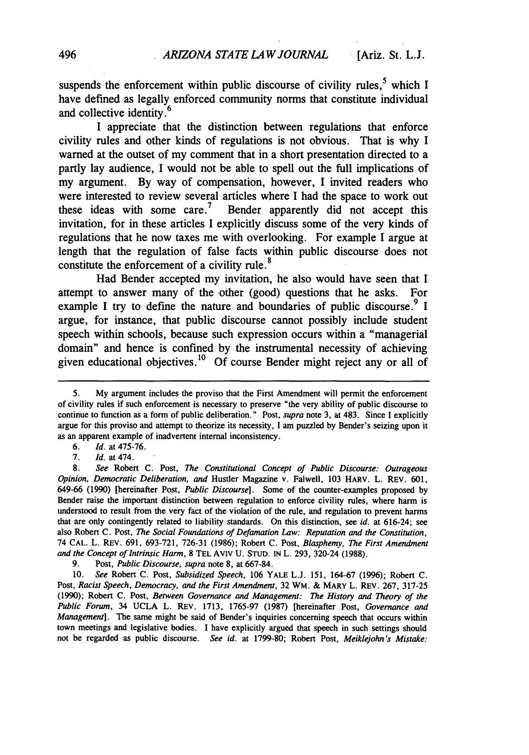suspends the enforcement within public discourse of civility rules,  $5$  which I have defined as legally enforced community norms that constitute individual and collective identity.<sup>6</sup>

I appreciate that the distinction between regulations that enforce civility rules and other kinds of regulations is not obvious. That is why I warned at the outset of my comment that in a short presentation directed to a partly lay audience, I would not be able to spell out the full implications of my argument. By way of compensation, however, I invited readers who were interested to review several articles where I had the space to work out these ideas with some care.<sup>7</sup> Bender apparently did not accept this invitation, for in these articles I explicitly discuss some of the very kinds of regulations that he now taxes me with overlooking. For example I argue at length that the regulation of false facts within public discourse does not **<sup>8</sup>** constitute the enforcement of a civility rule.

Had Bender accepted my invitation, he also would have seen that I attempt to answer many of the other (good) questions that he asks. For example I try to define the nature and boundaries of public discourse.  $9$  I argue, for instance, that public discourse cannot possibly include student speech within schools, because such expression occurs within a "managerial domain" and hence is confined by the instrumental necessity of achieving given educational objectives.10 Of course Bender might reject any or all of

*6. Id.* at 475-76.

*Id.* at 474.

9. Post, *Public Discourse, supra* note 8, at 667-84.

10. *See* Robert C. Post, *Subsidized Speech,* 106 YALE L.J. 151, 164-67 (1996); Robert C. Post, *Racist Speech, Democracy, and the First Amendment,* 32 WM. & MARY L. REV. 267, 317-25 (1990); Robert C. Post, *Between Governance and Management: The History and Theory of the Public Forum,* 34 UCLA L. REV. 1713, 1765-97 (1987) [hereinafter Post, *Governance and Management].* The same might be said of Bender's inquiries concerning speech that occurs within town meetings and legislative bodies. I have explicitly argued that speech in such settings should not be regarded as public discourse. *See id.* at 1799-80; Robert Post, *Meiklejohn's Mistake:*

<sup>5.</sup> My argument includes the proviso that the First Amendment will permit the enforcement of civility rules if such enforcement is necessary to preserve "the very ability of public discourse to continue to function as a form of public deliberation." Post, *supra* note 3, at 483. Since I explicitly argue for this proviso and attempt to theorize its necessity, I am puzzled by Bender's seizing upon it as an apparent example of inadvertent internal inconsistency.

<sup>8.</sup> *See* Robert C. Post, *The Constitutional Concept of Public Discourse: Outrageous Opinion, Democratic Deliberation, and* Hustler Magazine v. Falwell, 103 HARV. L. REV. 601, 649-66 (1990) [hereinafter Post, *Public Discourse].* Some of the counter-examples proposed by Bender raise the important distinction between regulation to enforce civility rules, where harm is understood to result from the very fact of the violation of the rule, and regulation to prevent harms that are only contingently related to liability standards. On this distinction, see *id.* at 616-24; see also Robert C. Post, *The Social Foundations of Defamation Law: Reputation and the Constitution,* 74 CAL. L. REV. 691, 693-721, 726-31 (1986); Robert C. Post, *Blasphemy, The First Amendment and the Concept of Intrinsic Harm,* 8 TEL Aviv U. STUD. IN L. 293, 320-24 (1988).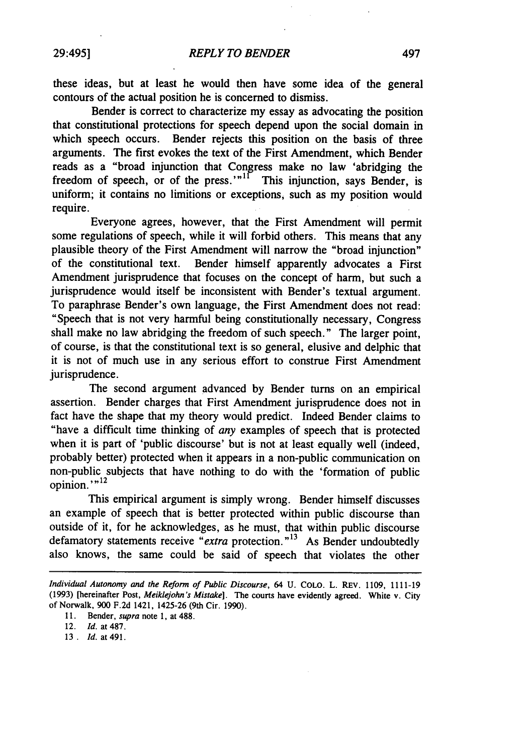these ideas, but at least he would then have some idea of the general contours of the actual position he is concerned to dismiss.

Bender is correct to characterize my essay as advocating the position that constitutional protections for speech depend upon the social domain in which speech occurs. Bender rejects this position on the basis of three arguments. The first evokes the text of the First Amendment, which Bender reads as a "broad injunction that Congress make no law 'abridging the freedom of speech, or of the press.' $n<sup>11</sup>$  This injunction, says Bender, is uniform; it contains no limitions or exceptions, such as my position would require.

Everyone agrees, however, that the First Amendment will permit some regulations of speech, while it will forbid others. This means that any plausible theory of the First Amendment will narrow the "broad injunction" of the constitutional text. Bender himself apparently advocates a First Amendment jurisprudence that focuses on the concept of harm, but such a jurisprudence would itself be inconsistent with Bender's textual argument. To paraphrase Bender's own language, the First Amendment does not read: "Speech that is not very harmful being constitutionally necessary, Congress shall make no law abridging the freedom of such speech." The larger point, of course, is that the constitutional text is so general, elusive and delphic that it is not of much use in any serious effort to construe First Amendment jurisprudence.

The second argument advanced by Bender turns on an empirical assertion. Bender charges that First Amendment jurisprudence does not in fact have the shape that my theory would predict. Indeed Bender claims to "have a difficult time thinking of *any* examples of speech that is protected when it is part of 'public discourse' but is not at least equally well (indeed, probably better) protected when it appears in a non-public communication on non-public subjects that have nothing to do with the 'formation of public opinion.'"<sup>12</sup>

This empirical argument is simply wrong. Bender himself discusses an example of speech that is better protected within public discourse than outside of it, for he acknowledges, as he must, that within public discourse defamatory statements receive "*extra* protection."<sup>13</sup> As Bender undoubtedly also knows, the same could be said of speech that violates the other

*Individual Autonomy and the Reform of Public Discourse,* 64 U. COLO. L. REV. 1109, 1111-19 (1993) [hereinafter Post, *Meiklejohn's Mistake].* The courts have evidently agreed. White v. City of Norwalk, 900 F.2d 1421, 1425-26 (9th Cir. 1990).

<sup>11.</sup> Bender, *supra* note 1, at 488.

<sup>12.</sup> *Id.* at 487.

<sup>13</sup> . *Id.* at 491.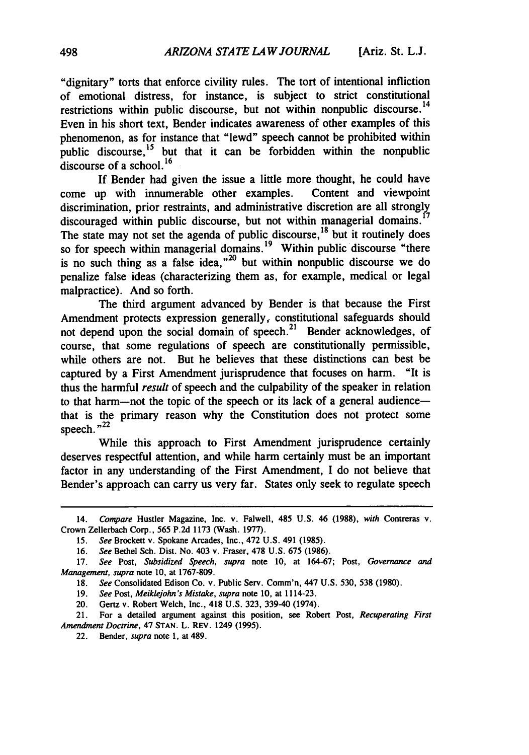"dignitary" torts that enforce civility rules. The tort of intentional infliction of emotional distress, for instance, is subject to strict constitutional restrictions within public discourse, but not within nonpublic discourse.<sup>14</sup> Even in his short text, Bender indicates awareness of other examples of this phenomenon, as for instance that "lewd" speech cannot be prohibited within public discourse,<sup>15</sup> but that it can be forbidden within the nonpublic discourse of a school. **<sup>16</sup>**

If Bender had given the issue a little more thought, he could have come up with innumerable other examples. Content and viewpoint discrimination, prior restraints, and administrative discretion are all strongly discouraged within public discourse, but not within managerial domains. The state may not set the agenda of public discourse,  $18$  but it routinely does so for speech within managerial domains.<sup>19</sup> Within public discourse "there is no such thing as a false idea, $n^{20}$  but within nonpublic discourse we do penalize false ideas (characterizing them as, for example, medical or legal malpractice). And so forth.

The third argument advanced by Bender is that because the First Amendment protects expression generally, constitutional safeguards should not depend upon the social domain of speech.<sup>21</sup> Bender acknowledges, of course, that some regulations of speech are constitutionally permissible, while others are not. But he believes that these distinctions can best be captured by a First Amendment jurisprudence that focuses on harm. "It is thus the harmful *result* of speech and the culpability of the speaker in relation to that harm--not the topic of the speech or its lack of a general audiencethat is the primary reason why the Constitution does not protect some speech. $^{n22}$ 

While this approach to First Amendment jurisprudence certainly deserves respectful attention, and while harm certainly must be an important factor in any understanding of the First Amendment, I do not believe that Bender's approach can carry us very far. States only seek to regulate speech

<sup>14.</sup> Compare Hustler Magazine, Inc. v. Falwell, 485 U.S. 46 (1988), with Contreras v. Crown Zellerbach Corp., 565 P.2d 1173 (Wash. 1977).

<sup>15.</sup> See Brockett v. Spokane Arcades, Inc., 472 U.S. 491 (1985).

<sup>16.</sup> See Bethel Sch. Dist. No. 403 v. Fraser, **478** U.S. 675 (1986).

<sup>17.</sup> See Post, Subsidized Speech, *supra* note **10,** at 164-67; Post, *Governance and Management, supra* note 10, at 1767-809.

**<sup>18.</sup>** *See* Consolidated Edison Co. v. Public Serv. Comm'n, 447 U.S. 530, **538** (1980).

<sup>19.</sup> *See* Post, *Meiklejohn's Mistake, supra* note 10, at 1114-23.

<sup>20.</sup> Gertz v. Robert Welch, Inc., 418 U.S. 323, 339-40 (1974).

<sup>21.</sup> For a detailed argument against this position, see Robert Post, *Recuperating First* Amendment Doctrine, 47 STAN. L. REV. 1249 **(1995).**

<sup>22.</sup> Bender, *supra* note 1, at 489.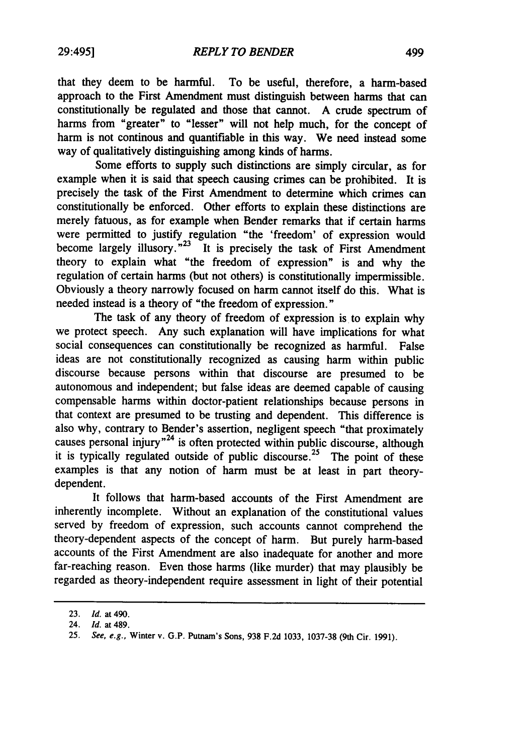that they deem to be harmful. To be useful, therefore, a harm-based approach to the First Amendment must distinguish between harms that can constitutionally be regulated and those that cannot. A crude spectrum of harms from "greater" to "lesser" will not help much, for the concept of harm is not continous and quantifiable in this way. We need instead some way of qualitatively distinguishing among kinds of harms.

Some efforts to supply such distinctions are simply circular, as for example when it is said that speech causing crimes can be prohibited. It is precisely the task of the First Amendment to determine which crimes can constitutionally be enforced. Other efforts to explain these distinctions are merely fatuous, as for example when Bender remarks that if certain harms were permitted to justify regulation "the 'freedom' of expression would become largely illusory."<sup>23</sup> It is precisely the task of First Amendment theory to explain what "the freedom of expression" is and why the regulation of certain harms (but not others) is constitutionally impermissible. Obviously a theory narrowly focused on harm cannot itself do this. What is needed instead is a theory of "the freedom of expression."

The task of any theory of freedom of expression is to explain why we protect speech. Any such explanation will have implications for what social consequences can constitutionally be recognized as harmful. False ideas are not constitutionally recognized as causing harm within public discourse because persons within that discourse are presumed to be autonomous and independent; but false ideas are deemed capable of causing compensable harms within doctor-patient relationships because persons in that context are presumed to be trusting and dependent. This difference is also why, contrary to Bender's assertion, negligent speech "that proximately causes personal injury<sup>724</sup> is often protected within public discourse, although it is typically regulated outside of public discourse.<sup>25</sup> The point of these examples is that any notion of harm must be at least in part theorydependent.

It follows that harm-based accounts of the First Amendment are inherently incomplete. Without an explanation of the constitutional values served by freedom of expression, such accounts cannot comprehend the theory-dependent aspects of the concept of harm. But purely harm-based accounts of the First Amendment are also inadequate for another and more far-reaching reason. Even those harms (like murder) that may plausibly be regarded as theory-independent require assessment in light of their potential

<sup>23.</sup> *Id.* at 490.

<sup>24.</sup> *Id.* at 489.

<sup>25.</sup> *See, e.g.,* Winter v. G.P. Putnam's Sons, **938** F.2d 1033, 1037-38 (9th Cir. 1991).